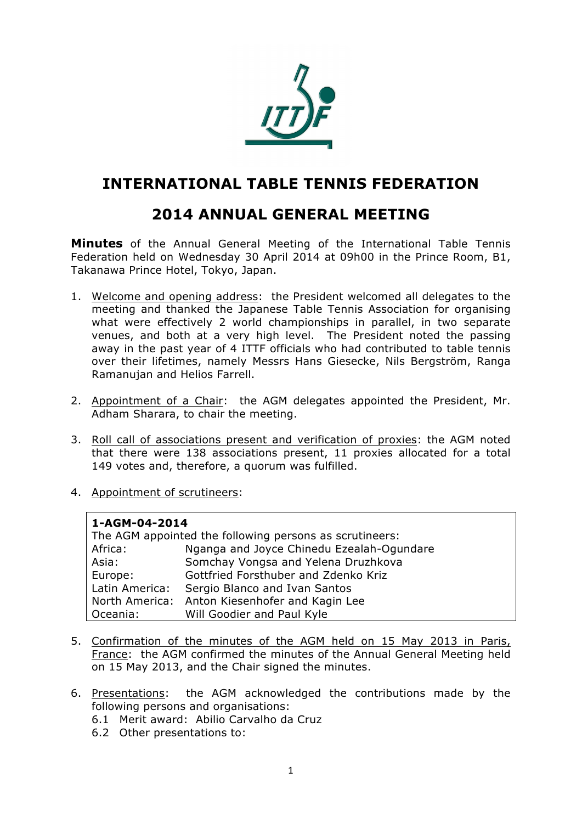

# **INTERNATIONAL TABLE TENNIS FEDERATION**

# **2014 ANNUAL GENERAL MEETING**

**Minutes** of the Annual General Meeting of the International Table Tennis Federation held on Wednesday 30 April 2014 at 09h00 in the Prince Room, B1, Takanawa Prince Hotel, Tokyo, Japan.

- 1. Welcome and opening address: the President welcomed all delegates to the meeting and thanked the Japanese Table Tennis Association for organising what were effectively 2 world championships in parallel, in two separate venues, and both at a very high level. The President noted the passing away in the past year of 4 ITTF officials who had contributed to table tennis over their lifetimes, namely Messrs Hans Giesecke, Nils Bergström, Ranga Ramanujan and Helios Farrell.
- 2. Appointment of a Chair: the AGM delegates appointed the President, Mr. Adham Sharara, to chair the meeting.
- 3. Roll call of associations present and verification of proxies: the AGM noted that there were 138 associations present, 11 proxies allocated for a total 149 votes and, therefore, a quorum was fulfilled.
- 4. Appointment of scrutineers:

#### **1-AGM-04-2014**

| The AGM appointed the following persons as scrutineers: |                                                |  |
|---------------------------------------------------------|------------------------------------------------|--|
| Africa:                                                 | Nganga and Joyce Chinedu Ezealah-Ogundare      |  |
| Asia:                                                   | Somchay Vongsa and Yelena Druzhkova            |  |
| Europe:                                                 | Gottfried Forsthuber and Zdenko Kriz           |  |
| Latin America:                                          | Sergio Blanco and Ivan Santos                  |  |
|                                                         | North America: Anton Kiesenhofer and Kagin Lee |  |
| Oceania:                                                | Will Goodier and Paul Kyle                     |  |

- 5. Confirmation of the minutes of the AGM held on 15 May 2013 in Paris, France: the AGM confirmed the minutes of the Annual General Meeting held on 15 May 2013, and the Chair signed the minutes.
- 6. Presentations: the AGM acknowledged the contributions made by the following persons and organisations:
	- 6.1 Merit award: Abilio Carvalho da Cruz
	- 6.2 Other presentations to: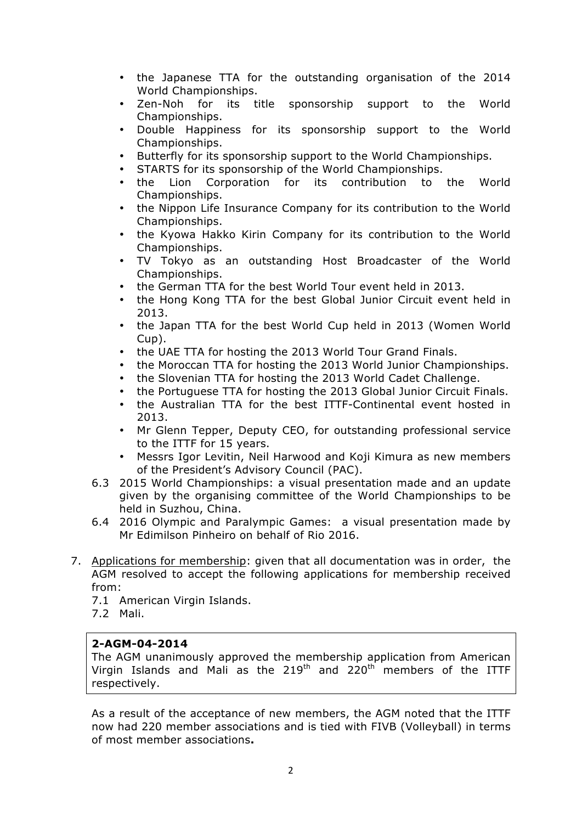- the Japanese TTA for the outstanding organisation of the 2014 World Championships.
- Zen-Noh for its title sponsorship support to the World Championships.
- Double Happiness for its sponsorship support to the World Championships.
- Butterfly for its sponsorship support to the World Championships.
- STARTS for its sponsorship of the World Championships.
- the Lion Corporation for its contribution to the World Championships.
- the Nippon Life Insurance Company for its contribution to the World Championships.
- the Kyowa Hakko Kirin Company for its contribution to the World Championships.
- TV Tokyo as an outstanding Host Broadcaster of the World Championships.
- the German TTA for the best World Tour event held in 2013.
- the Hong Kong TTA for the best Global Junior Circuit event held in 2013.
- the Japan TTA for the best World Cup held in 2013 (Women World Cup).
- the UAE TTA for hosting the 2013 World Tour Grand Finals.
- the Moroccan TTA for hosting the 2013 World Junior Championships.
- the Slovenian TTA for hosting the 2013 World Cadet Challenge.<br>• the Portuguese TTA for hosting the 2013 Global Junior Circuit Fi
- the Portuguese TTA for hosting the 2013 Global Junior Circuit Finals.
- the Australian TTA for the best ITTF-Continental event hosted in 2013.
- Mr Glenn Tepper, Deputy CEO, for outstanding professional service to the ITTF for 15 years.
- Messrs Igor Levitin, Neil Harwood and Koji Kimura as new members of the President's Advisory Council (PAC).
- 6.3 2015 World Championships: a visual presentation made and an update given by the organising committee of the World Championships to be held in Suzhou, China.
- 6.4 2016 Olympic and Paralympic Games: a visual presentation made by Mr Edimilson Pinheiro on behalf of Rio 2016.
- 7. Applications for membership: given that all documentation was in order, the AGM resolved to accept the following applications for membership received from:
	- 7.1 American Virgin Islands.
	- 7.2 Mali.

## **2-AGM-04-2014**

The AGM unanimously approved the membership application from American Virgin Islands and Mali as the  $219<sup>th</sup>$  and  $220<sup>th</sup>$  members of the ITTF respectively.

As a result of the acceptance of new members, the AGM noted that the ITTF now had 220 member associations and is tied with FIVB (Volleyball) in terms of most member associations**.**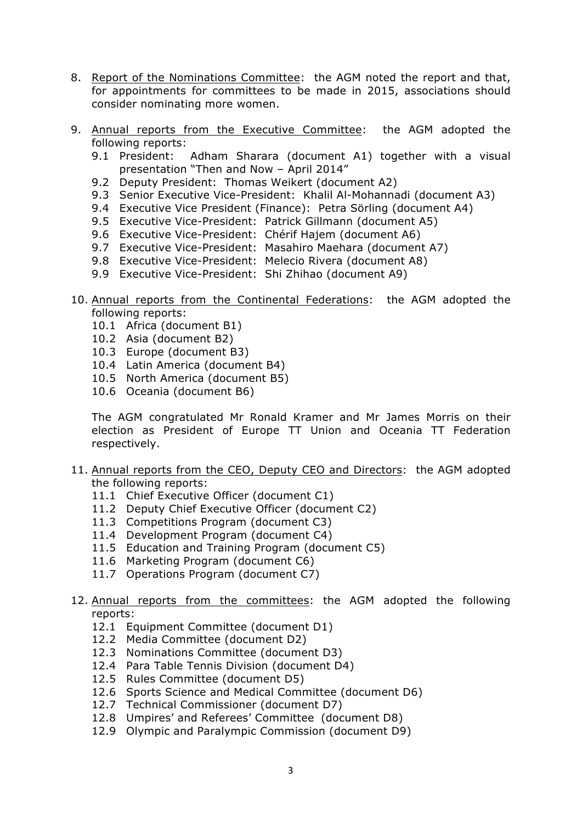- 8. Report of the Nominations Committee: the AGM noted the report and that, for appointments for committees to be made in 2015, associations should consider nominating more women.
- 9. Annual reports from the Executive Committee: the AGM adopted the following reports:
	- 9.1 President: Adham Sharara (document A1) together with a visual presentation "Then and Now – April 2014"
	- 9.2 Deputy President: Thomas Weikert (document A2)
	- 9.3 Senior Executive Vice-President: Khalil Al-Mohannadi (document A3)
	- 9.4 Executive Vice President (Finance): Petra Sörling (document A4)
	- 9.5 Executive Vice-President: Patrick Gillmann (document A5)
	- 9.6 Executive Vice-President: Chérif Hajem (document A6)
	- 9.7 Executive Vice-President: Masahiro Maehara (document A7)
	- 9.8 Executive Vice-President: Melecio Rivera (document A8)
	- 9.9 Executive Vice-President: Shi Zhihao (document A9)
- 10. Annual reports from the Continental Federations: the AGM adopted the following reports:
	- 10.1 Africa (document B1)
	- 10.2 Asia (document B2)
	- 10.3 Europe (document B3)
	- 10.4 Latin America (document B4)
	- 10.5 North America (document B5)
	- 10.6 Oceania (document B6)

The AGM congratulated Mr Ronald Kramer and Mr James Morris on their election as President of Europe TT Union and Oceania TT Federation respectively.

- 11. Annual reports from the CEO, Deputy CEO and Directors: the AGM adopted the following reports:
	- 11.1 Chief Executive Officer (document C1)
	- 11.2 Deputy Chief Executive Officer (document C2)
	- 11.3 Competitions Program (document C3)
	- 11.4 Development Program (document C4)
	- 11.5 Education and Training Program (document C5)
	- 11.6 Marketing Program (document C6)
	- 11.7 Operations Program (document C7)
- 12. Annual reports from the committees: the AGM adopted the following reports:
	- 12.1 Equipment Committee (document D1)
	- 12.2 Media Committee (document D2)
	- 12.3 Nominations Committee (document D3)
	- 12.4 Para Table Tennis Division (document D4)
	- 12.5 Rules Committee (document D5)
	- 12.6 Sports Science and Medical Committee (document D6)
	- 12.7 Technical Commissioner (document D7)
	- 12.8 Umpires' and Referees' Committee (document D8)
	- 12.9 Olympic and Paralympic Commission (document D9)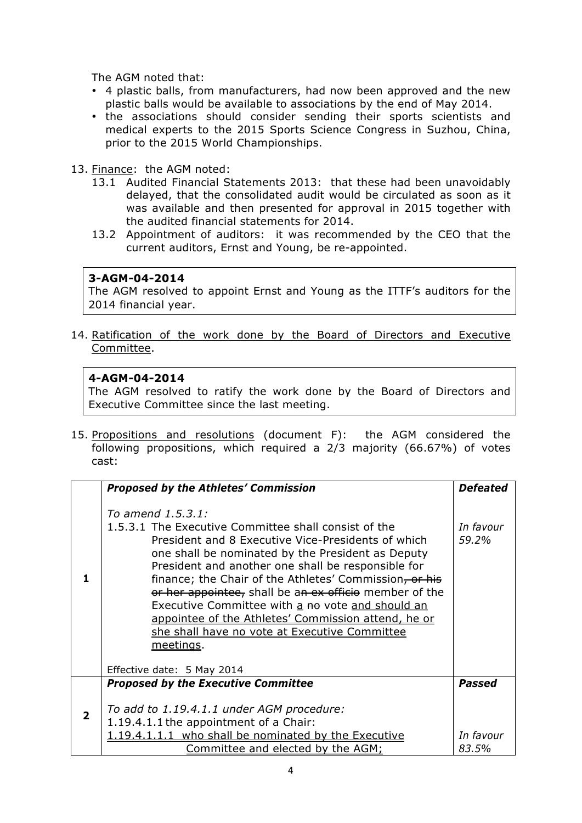The AGM noted that:

- 4 plastic balls, from manufacturers, had now been approved and the new plastic balls would be available to associations by the end of May 2014.
- the associations should consider sending their sports scientists and medical experts to the 2015 Sports Science Congress in Suzhou, China, prior to the 2015 World Championships.
- 13. Finance: the AGM noted:
	- 13.1 Audited Financial Statements 2013: that these had been unavoidably delayed, that the consolidated audit would be circulated as soon as it was available and then presented for approval in 2015 together with the audited financial statements for 2014.
	- 13.2 Appointment of auditors: it was recommended by the CEO that the current auditors, Ernst and Young, be re-appointed.

#### **3-AGM-04-2014**

The AGM resolved to appoint Ernst and Young as the ITTF's auditors for the 2014 financial year.

14. Ratification of the work done by the Board of Directors and Executive Committee.

#### **4-AGM-04-2014**

The AGM resolved to ratify the work done by the Board of Directors and Executive Committee since the last meeting.

15. Propositions and resolutions (document F): the AGM considered the following propositions, which required a 2/3 majority (66.67%) of votes cast:

| <b>Proposed by the Athletes' Commission</b>                                                                                                                                                                                                                                                                                                                                                                                                                                                                                             | <b>Defeated</b>    |
|-----------------------------------------------------------------------------------------------------------------------------------------------------------------------------------------------------------------------------------------------------------------------------------------------------------------------------------------------------------------------------------------------------------------------------------------------------------------------------------------------------------------------------------------|--------------------|
| To amend 1.5.3.1:<br>1.5.3.1 The Executive Committee shall consist of the<br>President and 8 Executive Vice-Presidents of which<br>one shall be nominated by the President as Deputy<br>President and another one shall be responsible for<br>finance; the Chair of the Athletes' Commission, or his<br>or her appointee, shall be an ex officio member of the<br>Executive Committee with a no vote and should an<br>appointee of the Athletes' Commission attend, he or<br>she shall have no vote at Executive Committee<br>meetings. | In favour<br>59.2% |
| Effective date: 5 May 2014                                                                                                                                                                                                                                                                                                                                                                                                                                                                                                              |                    |
| <b>Proposed by the Executive Committee</b><br>To add to 1.19.4.1.1 under AGM procedure:<br>1.19.4.1.1 the appointment of a Chair:                                                                                                                                                                                                                                                                                                                                                                                                       | <b>Passed</b>      |
| 1.19.4.1.1.1 who shall be nominated by the Executive<br>Committee and elected by the AGM;                                                                                                                                                                                                                                                                                                                                                                                                                                               | In favour<br>83.5% |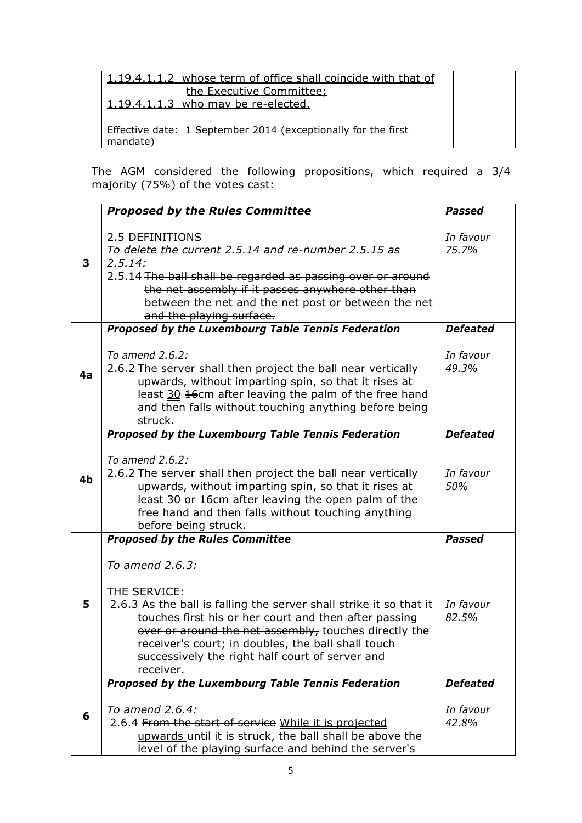| 1.19.4.1.1.2 whose term of office shall coincide with that of |  |
|---------------------------------------------------------------|--|
| the Executive Committee:                                      |  |
| 1.19.4.1.1.3 who may be re-elected.                           |  |
|                                                               |  |
| Effective date: 1 September 2014 (exceptionally for the first |  |
| mandate)                                                      |  |

The AGM considered the following propositions, which required a 3/4 majority (75%) of the votes cast:

|    | <b>Proposed by the Rules Committee</b>                                                                                                                                                                                                                                                                                                        | <b>Passed</b>      |
|----|-----------------------------------------------------------------------------------------------------------------------------------------------------------------------------------------------------------------------------------------------------------------------------------------------------------------------------------------------|--------------------|
| 3  | 2.5 DEFINITIONS<br>To delete the current 2.5.14 and re-number 2.5.15 as<br>2.5.14:<br>2.5.14 The ball shall be regarded as passing over or around<br>the net assembly if it passes anywhere other than<br>between the net and the net post or between the net<br>and the playing surface.                                                     | In favour<br>75.7% |
|    | <b>Proposed by the Luxembourg Table Tennis Federation</b>                                                                                                                                                                                                                                                                                     | <b>Defeated</b>    |
| 4a | To amend 2.6.2:<br>2.6.2 The server shall then project the ball near vertically<br>upwards, without imparting spin, so that it rises at<br>least 30 16cm after leaving the palm of the free hand<br>and then falls without touching anything before being<br>struck.                                                                          | In favour<br>49.3% |
|    | Proposed by the Luxembourg Table Tennis Federation                                                                                                                                                                                                                                                                                            | <b>Defeated</b>    |
| 4b | To amend 2.6.2:<br>2.6.2 The server shall then project the ball near vertically<br>upwards, without imparting spin, so that it rises at<br>least 30 or 16cm after leaving the open palm of the<br>free hand and then falls without touching anything<br>before being struck.                                                                  | In favour<br>50%   |
|    | <b>Proposed by the Rules Committee</b>                                                                                                                                                                                                                                                                                                        | <b>Passed</b>      |
| 5  | To amend 2.6.3:<br>THE SERVICE:<br>2.6.3 As the ball is falling the server shall strike it so that it<br>touches first his or her court and then after passing<br>over or around the net assembly, touches directly the<br>receiver's court; in doubles, the ball shall touch<br>successively the right half court of server and<br>receiver. | In favour<br>82.5% |
|    | Proposed by the Luxembourg Table Tennis Federation                                                                                                                                                                                                                                                                                            | <b>Defeated</b>    |
| 6  | To amend 2.6.4:<br>2.6.4 From the start of service While it is projected<br>upwards until it is struck, the ball shall be above the<br>level of the playing surface and behind the server's                                                                                                                                                   | In favour<br>42.8% |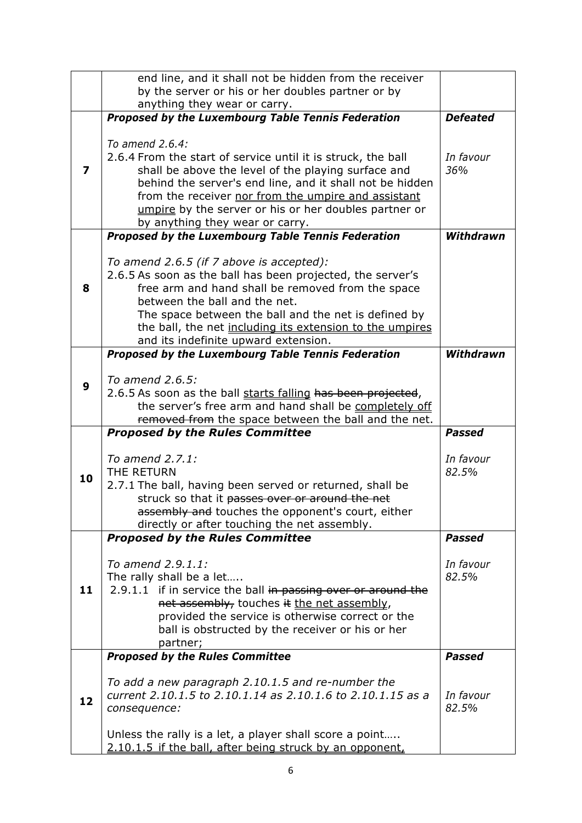|    | end line, and it shall not be hidden from the receiver                                                                                                                                                                                                                                                                                                   |                    |
|----|----------------------------------------------------------------------------------------------------------------------------------------------------------------------------------------------------------------------------------------------------------------------------------------------------------------------------------------------------------|--------------------|
|    | by the server or his or her doubles partner or by                                                                                                                                                                                                                                                                                                        |                    |
|    | anything they wear or carry.                                                                                                                                                                                                                                                                                                                             |                    |
|    | Proposed by the Luxembourg Table Tennis Federation                                                                                                                                                                                                                                                                                                       | <b>Defeated</b>    |
| 7  | To amend 2.6.4:<br>2.6.4 From the start of service until it is struck, the ball<br>shall be above the level of the playing surface and<br>behind the server's end line, and it shall not be hidden<br>from the receiver nor from the umpire and assistant<br>umpire by the server or his or her doubles partner or                                       | In favour<br>36%   |
|    | by anything they wear or carry.                                                                                                                                                                                                                                                                                                                          |                    |
|    | Proposed by the Luxembourg Table Tennis Federation                                                                                                                                                                                                                                                                                                       | Withdrawn          |
| 8  | To amend 2.6.5 (if 7 above is accepted):<br>2.6.5 As soon as the ball has been projected, the server's<br>free arm and hand shall be removed from the space<br>between the ball and the net.<br>The space between the ball and the net is defined by<br>the ball, the net including its extension to the umpires<br>and its indefinite upward extension. |                    |
|    | Proposed by the Luxembourg Table Tennis Federation                                                                                                                                                                                                                                                                                                       | Withdrawn          |
| 9  | To amend 2.6.5:<br>2.6.5 As soon as the ball starts falling has been projected,<br>the server's free arm and hand shall be completely off<br>removed from the space between the ball and the net.                                                                                                                                                        |                    |
|    | <b>Proposed by the Rules Committee</b>                                                                                                                                                                                                                                                                                                                   | <b>Passed</b>      |
| 10 | To amend 2.7.1:<br>THE RETURN<br>2.7.1 The ball, having been served or returned, shall be<br>struck so that it passes over or around the net<br>assembly and touches the opponent's court, either<br>directly or after touching the net assembly.                                                                                                        | In favour<br>82.5% |
|    | <b>Proposed by the Rules Committee</b>                                                                                                                                                                                                                                                                                                                   | <b>Passed</b>      |
| 11 | To amend 2.9.1.1:<br>The rally shall be a let<br>2.9.1.1 if in service the ball in passing over or around the<br>net assembly, touches it the net assembly,<br>provided the service is otherwise correct or the<br>ball is obstructed by the receiver or his or her<br>partner;                                                                          | In favour<br>82.5% |
|    | <b>Proposed by the Rules Committee</b>                                                                                                                                                                                                                                                                                                                   | <b>Passed</b>      |
|    |                                                                                                                                                                                                                                                                                                                                                          |                    |
| 12 | To add a new paragraph 2.10.1.5 and re-number the<br>current 2.10.1.5 to 2.10.1.14 as 2.10.1.6 to 2.10.1.15 as a<br>consequence:<br>Unless the rally is a let, a player shall score a point                                                                                                                                                              | In favour<br>82.5% |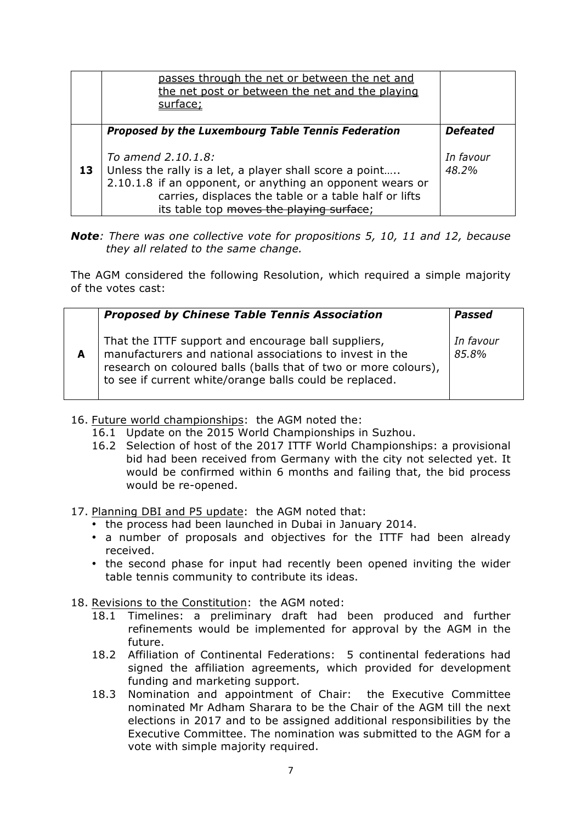|    | passes through the net or between the net and<br>the net post or between the net and the playing<br>surface:                                                                                                                                    |                    |
|----|-------------------------------------------------------------------------------------------------------------------------------------------------------------------------------------------------------------------------------------------------|--------------------|
|    | Proposed by the Luxembourg Table Tennis Federation                                                                                                                                                                                              | <b>Defeated</b>    |
| 13 | To amend 2.10.1.8:<br>Unless the rally is a let, a player shall score a point<br>2.10.1.8 if an opponent, or anything an opponent wears or<br>carries, displaces the table or a table half or lifts<br>its table top moves the playing surface: | In favour<br>48.2% |

### *Note: There was one collective vote for propositions 5, 10, 11 and 12, because they all related to the same change.*

The AGM considered the following Resolution, which required a simple majority of the votes cast:

|   | <b>Proposed by Chinese Table Tennis Association</b>                                                                                                                                                                                           | Passed             |
|---|-----------------------------------------------------------------------------------------------------------------------------------------------------------------------------------------------------------------------------------------------|--------------------|
| A | That the ITTF support and encourage ball suppliers,<br>manufacturers and national associations to invest in the<br>research on coloured balls (balls that of two or more colours),<br>to see if current white/orange balls could be replaced. | In favour<br>85.8% |

- 16. Future world championships: the AGM noted the:
	- 16.1 Update on the 2015 World Championships in Suzhou.
	- 16.2 Selection of host of the 2017 ITTF World Championships: a provisional bid had been received from Germany with the city not selected yet. It would be confirmed within 6 months and failing that, the bid process would be re-opened.
- 17. Planning DBI and P5 update: the AGM noted that:
	- the process had been launched in Dubai in January 2014.
	- a number of proposals and objectives for the ITTF had been already received.
	- the second phase for input had recently been opened inviting the wider table tennis community to contribute its ideas.
- 18. Revisions to the Constitution: the AGM noted:
	- 18.1 Timelines: a preliminary draft had been produced and further refinements would be implemented for approval by the AGM in the future.
	- 18.2 Affiliation of Continental Federations: 5 continental federations had signed the affiliation agreements, which provided for development funding and marketing support.
	- 18.3 Nomination and appointment of Chair: the Executive Committee nominated Mr Adham Sharara to be the Chair of the AGM till the next elections in 2017 and to be assigned additional responsibilities by the Executive Committee. The nomination was submitted to the AGM for a vote with simple majority required.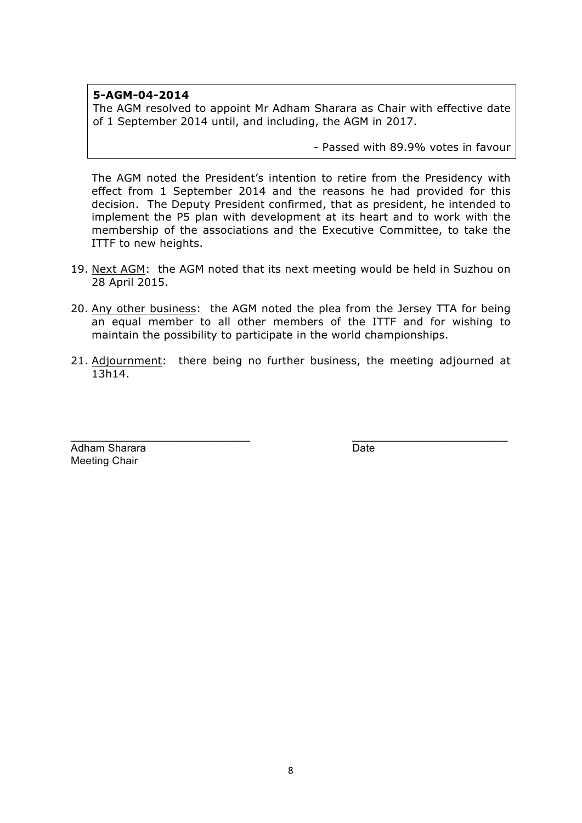## **5-AGM-04-2014**

The AGM resolved to appoint Mr Adham Sharara as Chair with effective date of 1 September 2014 until, and including, the AGM in 2017.

- Passed with 89.9% votes in favour

The AGM noted the President's intention to retire from the Presidency with effect from 1 September 2014 and the reasons he had provided for this decision. The Deputy President confirmed, that as president, he intended to implement the P5 plan with development at its heart and to work with the membership of the associations and the Executive Committee, to take the ITTF to new heights.

- 19. Next AGM: the AGM noted that its next meeting would be held in Suzhou on 28 April 2015.
- 20. Any other business: the AGM noted the plea from the Jersey TTA for being an equal member to all other members of the ITTF and for wishing to maintain the possibility to participate in the world championships.
- 21. Adjournment: there being no further business, the meeting adjourned at 13h14.

 $\_$  , and the set of the set of the set of the set of the set of the set of the set of the set of the set of the set of the set of the set of the set of the set of the set of the set of the set of the set of the set of th

Adham Sharara **Date** Date **Date** Meeting Chair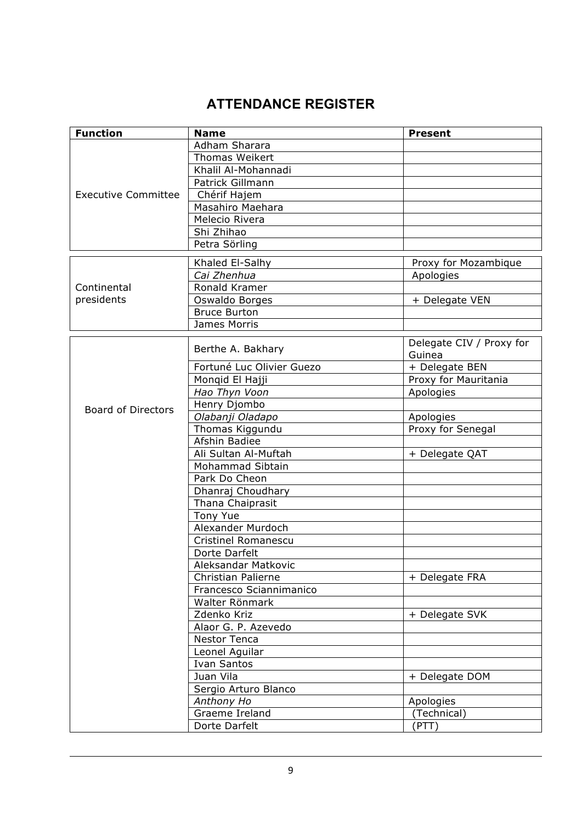# **ATTENDANCE REGISTER**

| <b>Function</b>            | <b>Name</b>                | <b>Present</b>                     |
|----------------------------|----------------------------|------------------------------------|
|                            | Adham Sharara              |                                    |
|                            | <b>Thomas Weikert</b>      |                                    |
|                            | Khalil Al-Mohannadi        |                                    |
|                            | Patrick Gillmann           |                                    |
| <b>Executive Committee</b> | Chérif Hajem               |                                    |
|                            | Masahiro Maehara           |                                    |
|                            | Melecio Rivera             |                                    |
|                            | Shi Zhihao                 |                                    |
|                            | Petra Sörling              |                                    |
|                            | Khaled El-Salhy            | Proxy for Mozambique               |
|                            | Cai Zhenhua                | Apologies                          |
| Continental                | Ronald Kramer              |                                    |
| presidents                 | Oswaldo Borges             | + Delegate VEN                     |
|                            | <b>Bruce Burton</b>        |                                    |
|                            | James Morris               |                                    |
|                            |                            |                                    |
|                            | Berthe A. Bakhary          | Delegate CIV / Proxy for<br>Guinea |
|                            | Fortuné Luc Olivier Guezo  | + Delegate BEN                     |
|                            | Monqid El Hajji            | Proxy for Mauritania               |
|                            | Hao Thyn Voon              | Apologies                          |
| <b>Board of Directors</b>  | Henry Djombo               |                                    |
|                            | Olabanji Oladapo           | Apologies                          |
|                            | Thomas Kiggundu            | Proxy for Senegal                  |
|                            | Afshin Badiee              |                                    |
|                            | Ali Sultan Al-Muftah       | + Delegate QAT                     |
|                            | Mohammad Sibtain           |                                    |
|                            | Park Do Cheon              |                                    |
|                            | Dhanraj Choudhary          |                                    |
|                            | Thana Chaiprasit           |                                    |
|                            | Tony Yue                   |                                    |
|                            | Alexander Murdoch          |                                    |
|                            | <b>Cristinel Romanescu</b> |                                    |
|                            | Dorte Darfelt              |                                    |
|                            | Aleksandar Matkovic        |                                    |
|                            | <b>Christian Palierne</b>  | + Delegate FRA                     |
|                            | Francesco Sciannimanico    |                                    |
|                            | Walter Rönmark             |                                    |
|                            | Zdenko Kriz                | + Delegate SVK                     |
|                            | Alaor G. P. Azevedo        |                                    |
|                            | Nestor Tenca               |                                    |
|                            | Leonel Aguilar             |                                    |
|                            | <b>Ivan Santos</b>         |                                    |
|                            | Juan Vila                  | + Delegate DOM                     |
|                            | Sergio Arturo Blanco       |                                    |
|                            | Anthony Ho                 | Apologies                          |
|                            | Graeme Ireland             | (Technical)                        |
|                            | Dorte Darfelt              | (PTT)                              |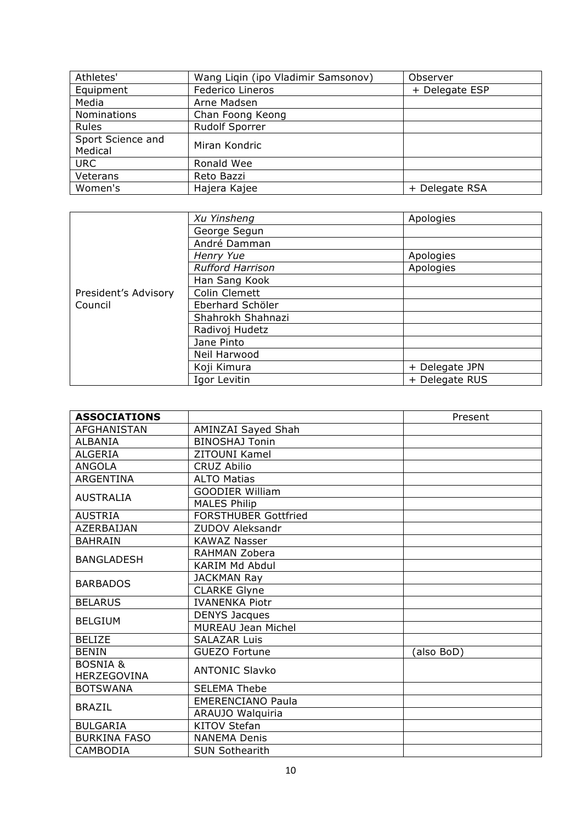| Athletes'                    | Wang Liqin (ipo Vladimir Samsonov) | Observer       |
|------------------------------|------------------------------------|----------------|
| Equipment                    | Federico Lineros                   | + Delegate ESP |
| Media                        | Arne Madsen                        |                |
| Nominations                  | Chan Foong Keong                   |                |
| Rules                        | <b>Rudolf Sporrer</b>              |                |
| Sport Science and<br>Medical | Miran Kondric                      |                |
| <b>URC</b>                   | Ronald Wee                         |                |
| Veterans                     | Reto Bazzi                         |                |
| Women's                      | Hajera Kajee                       | + Delegate RSA |

|                      | Xu Yinsheng             | Apologies      |
|----------------------|-------------------------|----------------|
|                      | George Segun            |                |
|                      | André Damman            |                |
|                      | Henry Yue               | Apologies      |
|                      | <b>Rufford Harrison</b> | Apologies      |
|                      | Han Sang Kook           |                |
| President's Advisory | Colin Clemett           |                |
| Council              | Eberhard Schöler        |                |
|                      | Shahrokh Shahnazi       |                |
|                      | Radivoj Hudetz          |                |
|                      | Jane Pinto              |                |
|                      | Neil Harwood            |                |
|                      | Koji Kimura             | + Delegate JPN |
|                      | Igor Levitin            | + Delegate RUS |

| <b>ASSOCIATIONS</b> |                             | Present    |
|---------------------|-----------------------------|------------|
| <b>AFGHANISTAN</b>  | AMINZAI Sayed Shah          |            |
| ALBANIA             | <b>BINOSHAJ Tonin</b>       |            |
| <b>ALGERIA</b>      | ZITOUNI Kamel               |            |
| <b>ANGOLA</b>       | <b>CRUZ Abilio</b>          |            |
| <b>ARGENTINA</b>    | <b>ALTO Matias</b>          |            |
| <b>AUSTRALIA</b>    | <b>GOODIER William</b>      |            |
|                     | <b>MALES Philip</b>         |            |
| <b>AUSTRIA</b>      | <b>FORSTHUBER Gottfried</b> |            |
| <b>AZERBAIJAN</b>   | <b>ZUDOV Aleksandr</b>      |            |
| <b>BAHRAIN</b>      | <b>KAWAZ Nasser</b>         |            |
| <b>BANGLADESH</b>   | RAHMAN Zobera               |            |
|                     | KARIM Md Abdul              |            |
| <b>BARBADOS</b>     | <b>JACKMAN Ray</b>          |            |
|                     | <b>CLARKE Glyne</b>         |            |
| <b>BELARUS</b>      | <b>IVANENKA Piotr</b>       |            |
| <b>BELGIUM</b>      | <b>DENYS Jacques</b>        |            |
|                     | <b>MUREAU Jean Michel</b>   |            |
| <b>BELIZE</b>       | <b>SALAZAR Luis</b>         |            |
| <b>BENIN</b>        | <b>GUEZO Fortune</b>        | (also BoD) |
| <b>BOSNIA &amp;</b> | <b>ANTONIC Slavko</b>       |            |
| <b>HERZEGOVINA</b>  |                             |            |
| <b>BOTSWANA</b>     | <b>SELEMA Thebe</b>         |            |
| <b>BRAZIL</b>       | <b>EMERENCIANO Paula</b>    |            |
|                     | ARAUJO Walquiria            |            |
| <b>BULGARIA</b>     | <b>KITOV Stefan</b>         |            |
| <b>BURKINA FASO</b> | <b>NANEMA Denis</b>         |            |
| CAMBODIA            | <b>SUN Sothearith</b>       |            |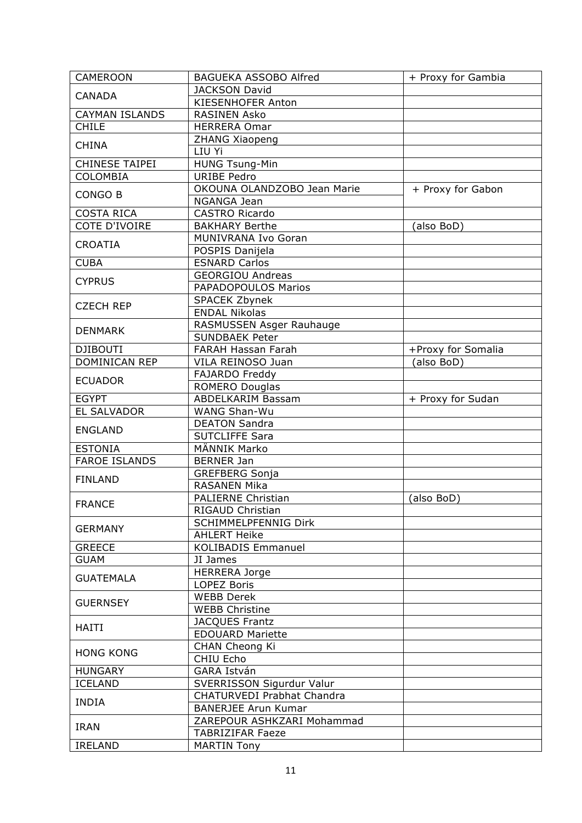| <b>CAMEROON</b>       | <b>BAGUEKA ASSOBO Alfred</b> | + Proxy for Gambia |
|-----------------------|------------------------------|--------------------|
|                       | <b>JACKSON David</b>         |                    |
| <b>CANADA</b>         | KIESENHOFER Anton            |                    |
| <b>CAYMAN ISLANDS</b> | <b>RASINEN Asko</b>          |                    |
| <b>CHILE</b>          | <b>HERRERA Omar</b>          |                    |
|                       | <b>ZHANG Xiaopeng</b>        |                    |
| <b>CHINA</b>          | LIU Yi                       |                    |
| <b>CHINESE TAIPEI</b> | <b>HUNG Tsung-Min</b>        |                    |
| <b>COLOMBIA</b>       | <b>URIBE Pedro</b>           |                    |
|                       | OKOUNA OLANDZOBO Jean Marie  | + Proxy for Gabon  |
| CONGO B               | NGANGA Jean                  |                    |
| <b>COSTA RICA</b>     | <b>CASTRO Ricardo</b>        |                    |
| <b>COTE D'IVOIRE</b>  | <b>BAKHARY Berthe</b>        | (also BoD)         |
|                       | MUNIVRANA Ivo Goran          |                    |
| <b>CROATIA</b>        | POSPIS Danijela              |                    |
| <b>CUBA</b>           | <b>ESNARD Carlos</b>         |                    |
|                       | <b>GEORGIOU Andreas</b>      |                    |
| <b>CYPRUS</b>         | PAPADOPOULOS Marios          |                    |
|                       |                              |                    |
| <b>CZECH REP</b>      | SPACEK Zbynek                |                    |
|                       | <b>ENDAL Nikolas</b>         |                    |
| <b>DENMARK</b>        | RASMUSSEN Asger Rauhauge     |                    |
|                       | <b>SUNDBAEK Peter</b>        |                    |
| <b>DJIBOUTI</b>       | FARAH Hassan Farah           | +Proxy for Somalia |
| DOMINICAN REP         | VILA REINOSO Juan            | (also BoD)         |
| <b>ECUADOR</b>        | FAJARDO Freddy               |                    |
|                       | <b>ROMERO Douglas</b>        |                    |
| <b>EGYPT</b>          | <b>ABDELKARIM Bassam</b>     | + Proxy for Sudan  |
| <b>EL SALVADOR</b>    | WANG Shan-Wu                 |                    |
| <b>ENGLAND</b>        | <b>DEATON Sandra</b>         |                    |
|                       | <b>SUTCLIFFE Sara</b>        |                    |
| <b>ESTONIA</b>        | MÄNNIK Marko                 |                    |
| <b>FAROE ISLANDS</b>  | <b>BERNER Jan</b>            |                    |
| <b>FINLAND</b>        | <b>GREFBERG Sonja</b>        |                    |
|                       | <b>RASANEN Mika</b>          |                    |
| <b>FRANCE</b>         | PALIERNE Christian           | (also BoD)         |
|                       | RIGAUD Christian             |                    |
| <b>GERMANY</b>        | <b>SCHIMMELPFENNIG Dirk</b>  |                    |
|                       | <b>AHLERT Heike</b>          |                    |
| <b>GREECE</b>         | <b>KOLIBADIS Emmanuel</b>    |                    |
| <b>GUAM</b>           | JI James                     |                    |
|                       | <b>HERRERA Jorge</b>         |                    |
| <b>GUATEMALA</b>      | LOPEZ Boris                  |                    |
|                       | <b>WEBB Derek</b>            |                    |
| <b>GUERNSEY</b>       | <b>WEBB Christine</b>        |                    |
|                       | <b>JACQUES Frantz</b>        |                    |
| <b>HAITI</b>          | <b>EDOUARD Mariette</b>      |                    |
|                       | CHAN Cheong Ki               |                    |
| <b>HONG KONG</b>      | CHIU Echo                    |                    |
| <b>HUNGARY</b>        | GARA István                  |                    |
| <b>ICELAND</b>        | SVERRISSON Sigurdur Valur    |                    |
|                       | CHATURVEDI Prabhat Chandra   |                    |
| <b>INDIA</b>          | <b>BANERJEE Arun Kumar</b>   |                    |
|                       | ZAREPOUR ASHKZARI Mohammad   |                    |
| <b>IRAN</b>           | <b>TABRIZIFAR Faeze</b>      |                    |
| <b>IRELAND</b>        |                              |                    |
|                       | <b>MARTIN Tony</b>           |                    |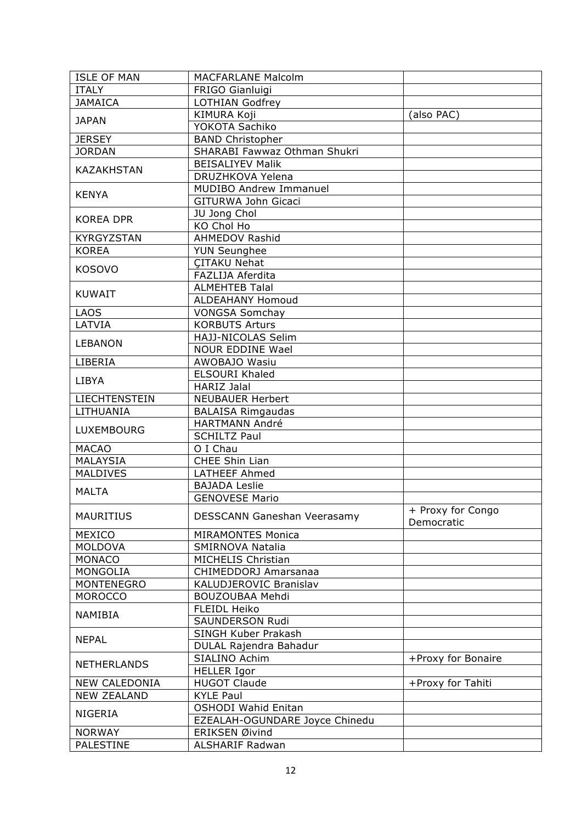| <b>ISLE OF MAN</b> | <b>MACFARLANE Malcolm</b>      |                    |
|--------------------|--------------------------------|--------------------|
| <b>ITALY</b>       | FRIGO Gianluigi                |                    |
| <b>JAMAICA</b>     | LOTHIAN Godfrey                |                    |
|                    | KIMURA Koji                    | (also PAC)         |
| <b>JAPAN</b>       | YOKOTA Sachiko                 |                    |
| <b>JERSEY</b>      | <b>BAND Christopher</b>        |                    |
| <b>JORDAN</b>      | SHARABI Fawwaz Othman Shukri   |                    |
| <b>KAZAKHSTAN</b>  | <b>BEISALIYEV Malik</b>        |                    |
|                    | DRUZHKOVA Yelena               |                    |
|                    | <b>MUDIBO Andrew Immanuel</b>  |                    |
| <b>KENYA</b>       | GITURWA John Gicaci            |                    |
|                    | JU Jong Chol                   |                    |
| <b>KOREA DPR</b>   | KO Chol Ho                     |                    |
| KYRGYZSTAN         | <b>AHMEDOV Rashid</b>          |                    |
| <b>KOREA</b>       |                                |                    |
|                    | <b>YUN Seunghee</b>            |                    |
| <b>KOSOVO</b>      | <b>CITAKU Nehat</b>            |                    |
|                    | FAZLIJA Aferdita               |                    |
| <b>KUWAIT</b>      | <b>ALMEHTEB Talal</b>          |                    |
|                    | <b>ALDEAHANY Homoud</b>        |                    |
| <b>LAOS</b>        | <b>VONGSA Somchay</b>          |                    |
| LATVIA             | <b>KORBUTS Arturs</b>          |                    |
| <b>LEBANON</b>     | HAJJ-NICOLAS Selim             |                    |
|                    | <b>NOUR EDDINE Wael</b>        |                    |
| LIBERIA            | AWOBAJO Wasiu                  |                    |
| <b>LIBYA</b>       | <b>ELSOURI Khaled</b>          |                    |
|                    | <b>HARIZ Jalal</b>             |                    |
| LIECHTENSTEIN      | <b>NEUBAUER Herbert</b>        |                    |
| LITHUANIA          | <b>BALAISA Rimgaudas</b>       |                    |
| <b>LUXEMBOURG</b>  | <b>HARTMANN André</b>          |                    |
|                    | <b>SCHILTZ Paul</b>            |                    |
| <b>MACAO</b>       | O I Chau                       |                    |
| <b>MALAYSIA</b>    | CHEE Shin Lian                 |                    |
| <b>MALDIVES</b>    | <b>LATHEEF Ahmed</b>           |                    |
|                    | <b>BAJADA Leslie</b>           |                    |
| <b>MALTA</b>       | <b>GENOVESE Mario</b>          |                    |
|                    |                                | + Proxy for Congo  |
| <b>MAURITIUS</b>   | DESSCANN Ganeshan Veerasamy    | Democratic         |
| <b>MEXICO</b>      | <b>MIRAMONTES Monica</b>       |                    |
| <b>MOLDOVA</b>     | SMIRNOVA Natalia               |                    |
| <b>MONACO</b>      | <b>MICHELIS Christian</b>      |                    |
| <b>MONGOLIA</b>    | CHIMEDDORJ Amarsanaa           |                    |
| <b>MONTENEGRO</b>  | KALUDJEROVIC Branislav         |                    |
| <b>MOROCCO</b>     | BOUZOUBAA Mehdi                |                    |
| <b>NAMIBIA</b>     | FLEIDL Heiko                   |                    |
|                    | SAUNDERSON Rudi                |                    |
|                    | SINGH Kuber Prakash            |                    |
| <b>NEPAL</b>       | DULAL Rajendra Bahadur         |                    |
|                    | SIALINO Achim                  | +Proxy for Bonaire |
| <b>NETHERLANDS</b> | <b>HELLER Igor</b>             |                    |
|                    |                                |                    |
| NEW CALEDONIA      | <b>HUGOT Claude</b>            | +Proxy for Tahiti  |
| <b>NEW ZEALAND</b> | <b>KYLE Paul</b>               |                    |
| <b>NIGERIA</b>     | <b>OSHODI Wahid Enitan</b>     |                    |
|                    | EZEALAH-OGUNDARE Joyce Chinedu |                    |
| <b>NORWAY</b>      | ERIKSEN Øivind                 |                    |
| <b>PALESTINE</b>   | <b>ALSHARIF Radwan</b>         |                    |